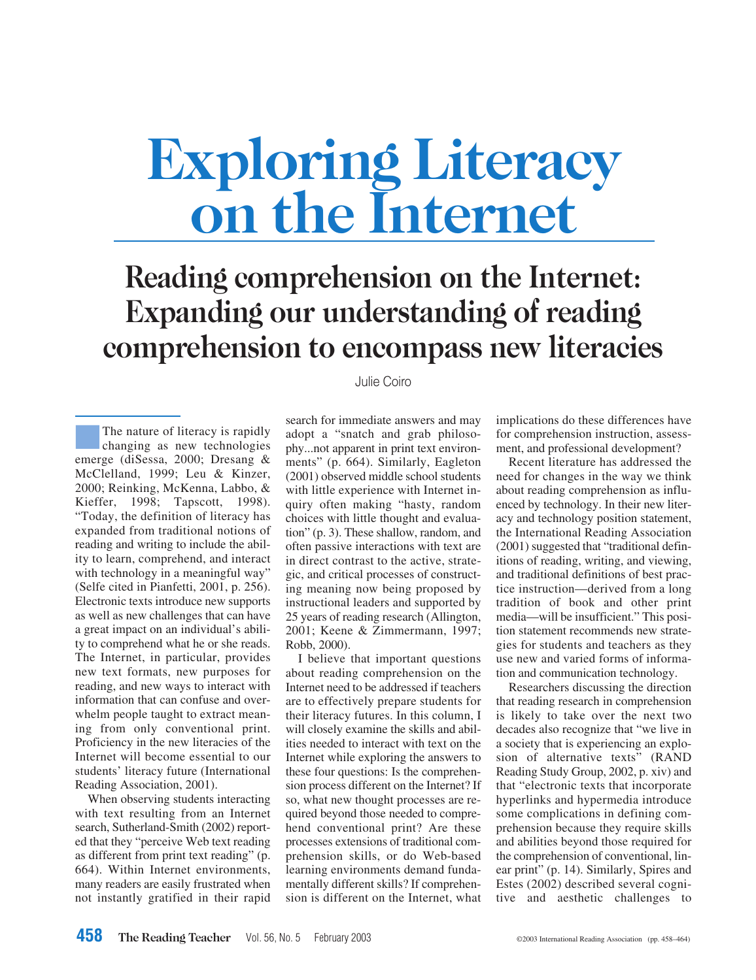# Exploring Literacy on the Internet

# Reading comprehension on the Internet: Expanding our understanding of reading comprehension to encompass new literacies

The nature of literacy is rapidly<br>changing as new technologies emerge (diSessa, 2000; Dresang & McClelland, 1999; Leu & Kinzer, 2000; Reinking, McKenna, Labbo, & Kieffer, 1998; Tapscott, 1998). "Today, the definition of literacy has expanded from traditional notions of reading and writing to include the ability to learn, comprehend, and interact with technology in a meaningful way" (Selfe cited in Pianfetti, 2001, p. 256). Electronic texts introduce new supports as well as new challenges that can have a great impact on an individual's ability to comprehend what he or she reads. The Internet, in particular, provides new text formats, new purposes for reading, and new ways to interact with information that can confuse and overwhelm people taught to extract meaning from only conventional print. Proficiency in the new literacies of the Internet will become essential to our students' literacy future (International Reading Association, 2001).

When observing students interacting with text resulting from an Internet search, Sutherland-Smith (2002) reported that they "perceive Web text reading as different from print text reading" (p. 664). Within Internet environments, many readers are easily frustrated when not instantly gratified in their rapid

# Julie Coiro

search for immediate answers and may adopt a "snatch and grab philosophy...not apparent in print text environments" (p. 664). Similarly, Eagleton (2001) observed middle school students with little experience with Internet inquiry often making "hasty, random choices with little thought and evaluation" (p. 3). These shallow, random, and often passive interactions with text are in direct contrast to the active, strategic, and critical processes of constructing meaning now being proposed by instructional leaders and supported by 25 years of reading research (Allington, 2001; Keene & Zimmermann, 1997; Robb, 2000).

I believe that important questions about reading comprehension on the Internet need to be addressed if teachers are to effectively prepare students for their literacy futures. In this column, I will closely examine the skills and abilities needed to interact with text on the Internet while exploring the answers to these four questions: Is the comprehension process different on the Internet? If so, what new thought processes are required beyond those needed to comprehend conventional print? Are these processes extensions of traditional comprehension skills, or do Web-based learning environments demand fundamentally different skills? If comprehension is different on the Internet, what

implications do these differences have for comprehension instruction, assessment, and professional development?

Recent literature has addressed the need for changes in the way we think about reading comprehension as influenced by technology. In their new literacy and technology position statement, the International Reading Association (2001) suggested that "traditional definitions of reading, writing, and viewing, and traditional definitions of best practice instruction—derived from a long tradition of book and other print media—will be insufficient." This position statement recommends new strategies for students and teachers as they use new and varied forms of information and communication technology.

Researchers discussing the direction that reading research in comprehension is likely to take over the next two decades also recognize that "we live in a society that is experiencing an explosion of alternative texts" (RAND Reading Study Group, 2002, p. xiv) and that "electronic texts that incorporate hyperlinks and hypermedia introduce some complications in defining comprehension because they require skills and abilities beyond those required for the comprehension of conventional, linear print" (p. 14). Similarly, Spires and Estes (2002) described several cognitive and aesthetic challenges to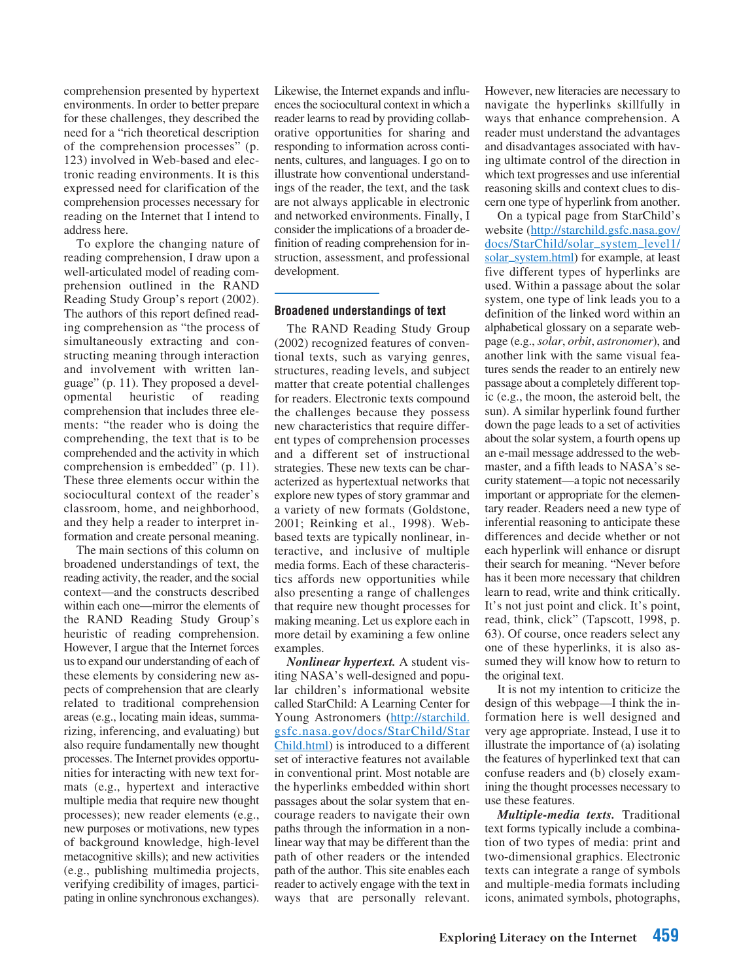comprehension presented by hypertext environments. In order to better prepare for these challenges, they described the need for a "rich theoretical description of the comprehension processes" (p. 123) involved in Web-based and electronic reading environments. It is this expressed need for clarification of the comprehension processes necessary for reading on the Internet that I intend to address here.

To explore the changing nature of reading comprehension, I draw upon a well-articulated model of reading comprehension outlined in the RAND Reading Study Group's report (2002). The authors of this report defined reading comprehension as "the process of simultaneously extracting and constructing meaning through interaction and involvement with written language" (p. 11). They proposed a developmental heuristic of reading comprehension that includes three elements: "the reader who is doing the comprehending, the text that is to be comprehended and the activity in which comprehension is embedded" (p. 11). These three elements occur within the sociocultural context of the reader's classroom, home, and neighborhood, and they help a reader to interpret information and create personal meaning.

The main sections of this column on broadened understandings of text, the reading activity, the reader, and the social context—and the constructs described within each one—mirror the elements of the RAND Reading Study Group's heuristic of reading comprehension. However, I argue that the Internet forces us to expand our understanding of each of these elements by considering new aspects of comprehension that are clearly related to traditional comprehension areas (e.g., locating main ideas, summarizing, inferencing, and evaluating) but also require fundamentally new thought processes. The Internet provides opportunities for interacting with new text formats (e.g., hypertext and interactive multiple media that require new thought processes); new reader elements (e.g., new purposes or motivations, new types of background knowledge, high-level metacognitive skills); and new activities (e.g., publishing multimedia projects, verifying credibility of images, participating in online synchronous exchanges).

Likewise, the Internet expands and influences the sociocultural context in which a reader learns to read by providing collaborative opportunities for sharing and responding to information across continents, cultures, and languages. I go on to illustrate how conventional understandings of the reader, the text, and the task are not always applicable in electronic and networked environments. Finally, I consider the implications of a broader definition of reading comprehension for instruction, assessment, and professional development.

#### **Broadened understandings of text**

The RAND Reading Study Group (2002) recognized features of conventional texts, such as varying genres, structures, reading levels, and subject matter that create potential challenges for readers. Electronic texts compound the challenges because they possess new characteristics that require different types of comprehension processes and a different set of instructional strategies. These new texts can be characterized as hypertextual networks that explore new types of story grammar and a variety of new formats (Goldstone, 2001; Reinking et al., 1998). Webbased texts are typically nonlinear, interactive, and inclusive of multiple media forms. Each of these characteristics affords new opportunities while also presenting a range of challenges that require new thought processes for making meaning. Let us explore each in more detail by examining a few online examples.

*Nonlinear hypertext.* A student visiting NASA's well-designed and popular children's informational website called StarChild: A Learning Center for Young Astronomers (http://starchild. gsfc.nasa.gov/docs/StarChild/Star Child.html) is introduced to a different set of interactive features not available in conventional print. Most notable are the hyperlinks embedded within short passages about the solar system that encourage readers to navigate their own paths through the information in a nonlinear way that may be different than the path of other readers or the intended path of the author. This site enables each reader to actively engage with the text in ways that are personally relevant. However, new literacies are necessary to navigate the hyperlinks skillfully in ways that enhance comprehension. A reader must understand the advantages and disadvantages associated with having ultimate control of the direction in which text progresses and use inferential reasoning skills and context clues to discern one type of hyperlink from another.

On a typical page from StarChild's website (http://starchild.gsfc.nasa.gov/ docs/StarChild/solar\_system\_level1/ solar\_system.html) for example, at least five different types of hyperlinks are used. Within a passage about the solar system, one type of link leads you to a definition of the linked word within an alphabetical glossary on a separate webpage (e.g., *solar*, *orbit*, *astronomer*), and another link with the same visual features sends the reader to an entirely new passage about a completely different topic (e.g., the moon, the asteroid belt, the sun). A similar hyperlink found further down the page leads to a set of activities about the solar system, a fourth opens up an e-mail message addressed to the webmaster, and a fifth leads to NASA's security statement—a topic not necessarily important or appropriate for the elementary reader. Readers need a new type of inferential reasoning to anticipate these differences and decide whether or not each hyperlink will enhance or disrupt their search for meaning. "Never before has it been more necessary that children learn to read, write and think critically. It's not just point and click. It's point, read, think, click" (Tapscott, 1998, p. 63). Of course, once readers select any one of these hyperlinks, it is also assumed they will know how to return to the original text.

It is not my intention to criticize the design of this webpage—I think the information here is well designed and very age appropriate. Instead, I use it to illustrate the importance of (a) isolating the features of hyperlinked text that can confuse readers and (b) closely examining the thought processes necessary to use these features.

*Multiple-media texts.* Traditional text forms typically include a combination of two types of media: print and two-dimensional graphics. Electronic texts can integrate a range of symbols and multiple-media formats including icons, animated symbols, photographs,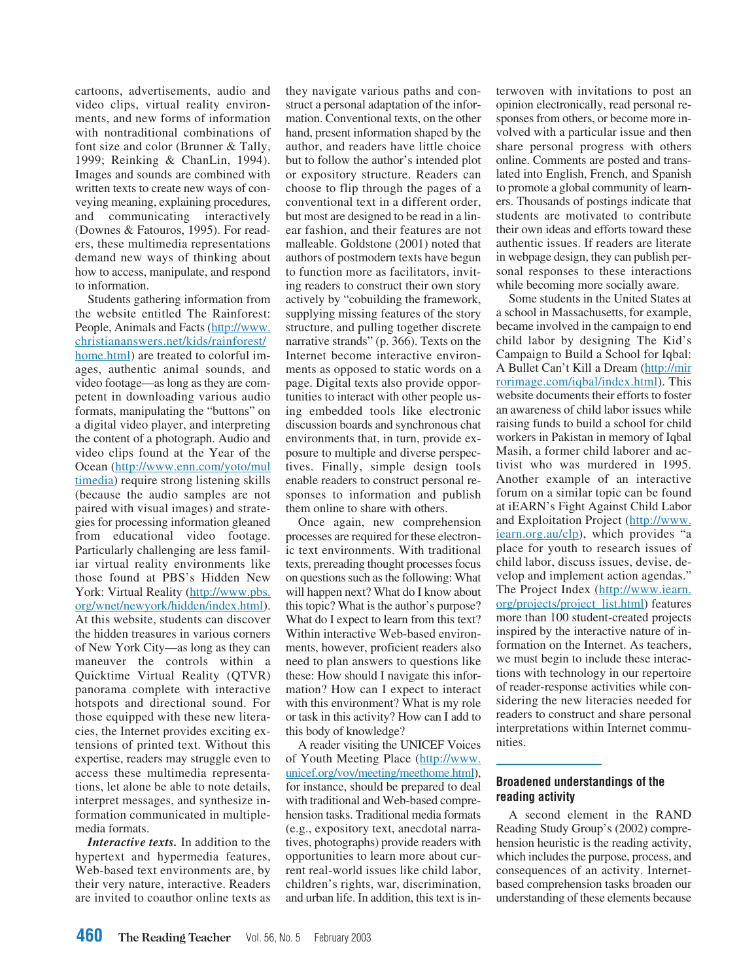cartoons, advertisements, audio and video clips, virtual reality environments, and new forms of information with nontraditional combinations of font size and color (Brunner & Tally, 1999; Reinking & ChanLin, 1994). Images and sounds are combined with written texts to create new ways of conveying meaning, explaining procedures, and communicating interactively (Downes & Fatouros, 1995). For readers, these multimedia representations demand new ways of thinking about how to access, manipulate, and respond to information.

Students gathering information from the website entitled The Rainforest: People, Animals and Facts (http://www. christiananswers.net/kids/rainforest/ home.html) are treated to colorful images, authentic animal sounds, and video footage—as long as they are competent in downloading various audio formats, manipulating the "buttons" on a digital video player, and interpreting the content of a photograph. Audio and video clips found at the Year of the Ocean (http://www.enn.com/yoto/mul timedia) require strong listening skills (because the audio samples are not paired with visual images) and strategies for processing information gleaned from educational video footage. Particularly challenging are less familiar virtual reality environments like those found at PBS's Hidden New York: Virtual Reality (http://www.pbs. org/wnet/newyork/hidden/index.html). At this website, students can discover the hidden treasures in various corners of New York City—as long as they can maneuver the controls within a Quicktime Virtual Reality (QTVR) panorama complete with interactive hotspots and directional sound. For those equipped with these new literacies, the Internet provides exciting extensions of printed text. Without this expertise, readers may struggle even to access these multimedia representations, let alone be able to note details, interpret messages, and synthesize information communicated in multiplemedia formats.

*Interactive texts.* In addition to the hypertext and hypermedia features, Web-based text environments are, by their very nature, interactive. Readers are invited to coauthor online texts as

they navigate various paths and construct a personal adaptation of the information. Conventional texts, on the other hand, present information shaped by the author, and readers have little choice but to follow the author's intended plot or expository structure. Readers can choose to flip through the pages of a conventional text in a different order, but most are designed to be read in a linear fashion, and their features are not malleable. Goldstone (2001) noted that authors of postmodern texts have begun to function more as facilitators, inviting readers to construct their own story actively by "cobuilding the framework, supplying missing features of the story structure, and pulling together discrete narrative strands" (p. 366). Texts on the Internet become interactive environments as opposed to static words on a page. Digital texts also provide opportunities to interact with other people using embedded tools like electronic discussion boards and synchronous chat environments that, in turn, provide exposure to multiple and diverse perspectives. Finally, simple design tools enable readers to construct personal responses to information and publish them online to share with others.

Once again, new comprehension processes are required for these electronic text environments. With traditional texts, prereading thought processes focus on questions such as the following: What will happen next? What do I know about this topic? What is the author's purpose? What do I expect to learn from this text? Within interactive Web-based environments, however, proficient readers also need to plan answers to questions like these: How should I navigate this information? How can I expect to interact with this environment? What is my role or task in this activity? How can I add to this body of knowledge?

A reader visiting the UNICEF Voices of Youth Meeting Place (http://www. unicef.org/voy/meeting/meethome.html), for instance, should be prepared to deal with traditional and Web-based comprehension tasks. Traditional media formats (e.g., expository text, anecdotal narratives, photographs) provide readers with opportunities to learn more about current real-world issues like child labor, children's rights, war, discrimination, and urban life. In addition, this text is interwoven with invitations to post an opinion electronically, read personal responses from others, or become more involved with a particular issue and then share personal progress with others online. Comments are posted and translated into English, French, and Spanish to promote a global community of learners. Thousands of postings indicate that students are motivated to contribute their own ideas and efforts toward these authentic issues. If readers are literate in webpage design, they can publish personal responses to these interactions while becoming more socially aware.

Some students in the United States at a school in Massachusetts, for example, became involved in the campaign to end child labor by designing The Kid's Campaign to Build a School for Iqbal: A Bullet Can't Kill a Dream (http://mir rorimage.com/iqbal/index.html). This website documents their efforts to foster an awareness of child labor issues while raising funds to build a school for child workers in Pakistan in memory of Iqbal Masih, a former child laborer and activist who was murdered in 1995. Another example of an interactive forum on a similar topic can be found at iEARN's Fight Against Child Labor and Exploitation Project (http://www. iearn.org.au/clp), which provides "a place for youth to research issues of child labor, discuss issues, devise, develop and implement action agendas." The Project Index (http://www.iearn. org/projects/project\_list.html) features more than 100 student-created projects inspired by the interactive nature of information on the Internet. As teachers, we must begin to include these interactions with technology in our repertoire of reader-response activities while considering the new literacies needed for readers to construct and share personal interpretations within Internet communities.

# **Broadened understandings of the reading activity**

A second element in the RAND Reading Study Group's (2002) comprehension heuristic is the reading activity, which includes the purpose, process, and consequences of an activity. Internetbased comprehension tasks broaden our understanding of these elements because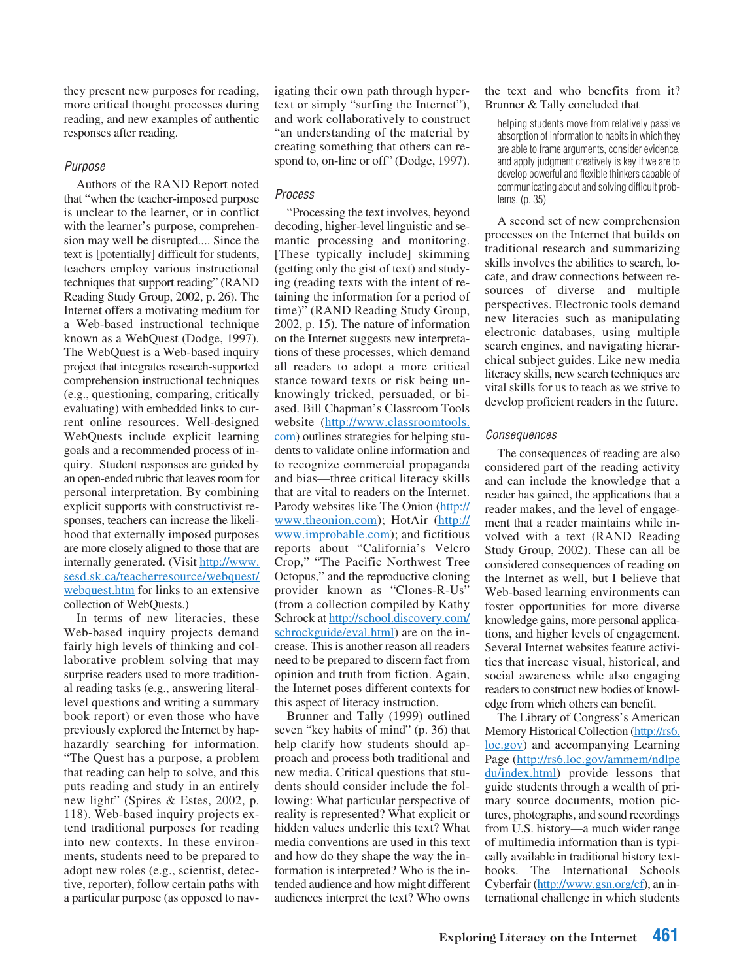they present new purposes for reading, more critical thought processes during reading, and new examples of authentic responses after reading.

#### Purpose

Authors of the RAND Report noted that "when the teacher-imposed purpose is unclear to the learner, or in conflict with the learner's purpose, comprehension may well be disrupted.... Since the text is [potentially] difficult for students, teachers employ various instructional techniques that support reading" (RAND Reading Study Group, 2002, p. 26). The Internet offers a motivating medium for a Web-based instructional technique known as a WebQuest (Dodge, 1997). The WebQuest is a Web-based inquiry project that integrates research-supported comprehension instructional techniques (e.g., questioning, comparing, critically evaluating) with embedded links to current online resources. Well-designed WebQuests include explicit learning goals and a recommended process of inquiry. Student responses are guided by an open-ended rubric that leaves room for personal interpretation. By combining explicit supports with constructivist responses, teachers can increase the likelihood that externally imposed purposes are more closely aligned to those that are internally generated. (Visit http://www. sesd.sk.ca/teacherresource/webquest/ webquest.htm for links to an extensive collection of WebQuests.)

In terms of new literacies, these Web-based inquiry projects demand fairly high levels of thinking and collaborative problem solving that may surprise readers used to more traditional reading tasks (e.g., answering literallevel questions and writing a summary book report) or even those who have previously explored the Internet by haphazardly searching for information. "The Quest has a purpose, a problem that reading can help to solve, and this puts reading and study in an entirely new light" (Spires & Estes, 2002, p. 118). Web-based inquiry projects extend traditional purposes for reading into new contexts. In these environments, students need to be prepared to adopt new roles (e.g., scientist, detective, reporter), follow certain paths with a particular purpose (as opposed to navigating their own path through hypertext or simply "surfing the Internet"), and work collaboratively to construct "an understanding of the material by creating something that others can respond to, on-line or off" (Dodge, 1997).

#### Process

"Processing the text involves, beyond decoding, higher-level linguistic and semantic processing and monitoring. [These typically include] skimming (getting only the gist of text) and studying (reading texts with the intent of retaining the information for a period of time)" (RAND Reading Study Group, 2002, p. 15). The nature of information on the Internet suggests new interpretations of these processes, which demand all readers to adopt a more critical stance toward texts or risk being unknowingly tricked, persuaded, or biased. Bill Chapman's Classroom Tools website (http://www.classroomtools. com) outlines strategies for helping students to validate online information and to recognize commercial propaganda and bias—three critical literacy skills that are vital to readers on the Internet. Parody websites like The Onion (http:// www.theonion.com); HotAir (http:// www.improbable.com); and fictitious reports about "California's Velcro Crop," "The Pacific Northwest Tree Octopus," and the reproductive cloning provider known as "Clones-R-Us" (from a collection compiled by Kathy Schrock at http://school.discovery.com/ schrockguide/eval.html) are on the increase. This is another reason all readers need to be prepared to discern fact from opinion and truth from fiction. Again, the Internet poses different contexts for this aspect of literacy instruction.

Brunner and Tally (1999) outlined seven "key habits of mind" (p. 36) that help clarify how students should approach and process both traditional and new media. Critical questions that students should consider include the following: What particular perspective of reality is represented? What explicit or hidden values underlie this text? What media conventions are used in this text and how do they shape the way the information is interpreted? Who is the intended audience and how might different audiences interpret the text? Who owns

#### the text and who benefits from it? Brunner & Tally concluded that

helping students move from relatively passive absorption of information to habits in which they are able to frame arguments, consider evidence, and apply judgment creatively is key if we are to develop powerful and flexible thinkers capable of communicating about and solving difficult problems. (p. 35)

A second set of new comprehension processes on the Internet that builds on traditional research and summarizing skills involves the abilities to search, locate, and draw connections between resources of diverse and multiple perspectives. Electronic tools demand new literacies such as manipulating electronic databases, using multiple search engines, and navigating hierarchical subject guides. Like new media literacy skills, new search techniques are vital skills for us to teach as we strive to develop proficient readers in the future.

#### Consequences

The consequences of reading are also considered part of the reading activity and can include the knowledge that a reader has gained, the applications that a reader makes, and the level of engagement that a reader maintains while involved with a text (RAND Reading Study Group, 2002). These can all be considered consequences of reading on the Internet as well, but I believe that Web-based learning environments can foster opportunities for more diverse knowledge gains, more personal applications, and higher levels of engagement. Several Internet websites feature activities that increase visual, historical, and social awareness while also engaging readers to construct new bodies of knowledge from which others can benefit.

The Library of Congress's American Memory Historical Collection (http://rs6. loc.gov) and accompanying Learning Page (http://rs6.loc.gov/ammem/ndlpe du/index.html) provide lessons that guide students through a wealth of primary source documents, motion pictures, photographs, and sound recordings from U.S. history—a much wider range of multimedia information than is typically available in traditional history textbooks. The International Schools Cyberfair (http://www.gsn.org/cf), an international challenge in which students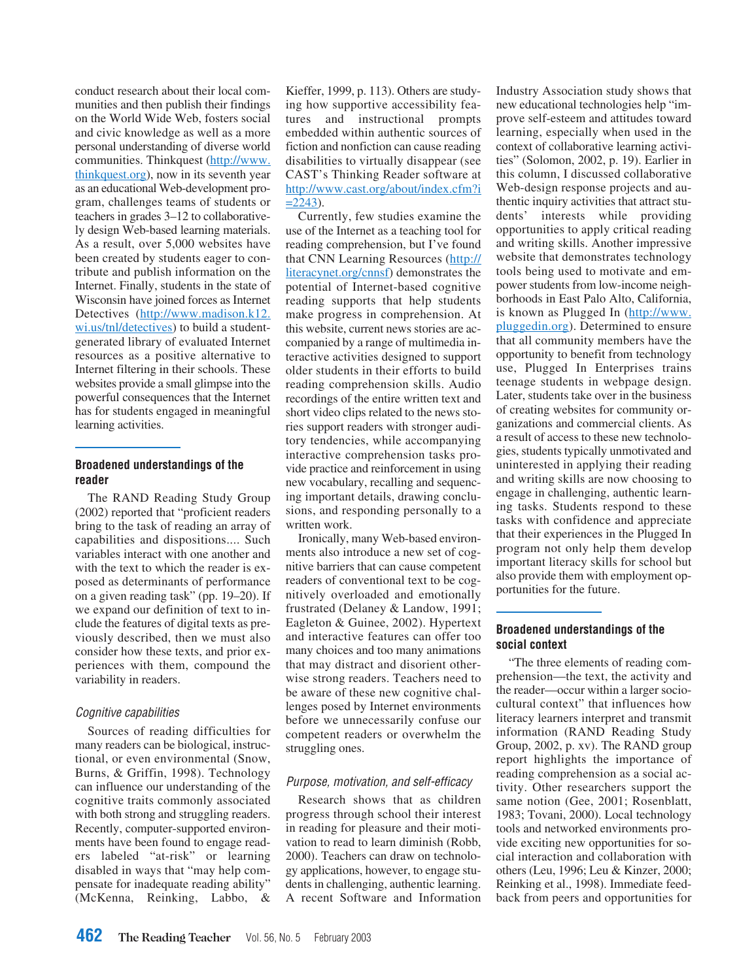conduct research about their local communities and then publish their findings on the World Wide Web, fosters social and civic knowledge as well as a more personal understanding of diverse world communities. Thinkquest (http://www. thinkquest.org), now in its seventh year as an educational Web-development program, challenges teams of students or teachers in grades 3–12 to collaboratively design Web-based learning materials. As a result, over 5,000 websites have been created by students eager to contribute and publish information on the Internet. Finally, students in the state of Wisconsin have joined forces as Internet Detectives (http://www.madison.k12. wi.us/tnl/detectives) to build a studentgenerated library of evaluated Internet resources as a positive alternative to Internet filtering in their schools. These websites provide a small glimpse into the powerful consequences that the Internet has for students engaged in meaningful learning activities.

# **Broadened understandings of the reader**

The RAND Reading Study Group (2002) reported that "proficient readers bring to the task of reading an array of capabilities and dispositions.... Such variables interact with one another and with the text to which the reader is exposed as determinants of performance on a given reading task" (pp. 19–20). If we expand our definition of text to include the features of digital texts as previously described, then we must also consider how these texts, and prior experiences with them, compound the variability in readers.

#### Cognitive capabilities

Sources of reading difficulties for many readers can be biological, instructional, or even environmental (Snow, Burns, & Griffin, 1998). Technology can influence our understanding of the cognitive traits commonly associated with both strong and struggling readers. Recently, computer-supported environments have been found to engage readers labeled "at-risk" or learning disabled in ways that "may help compensate for inadequate reading ability" (McKenna, Reinking, Labbo, &

Kieffer, 1999, p. 113). Others are studying how supportive accessibility features and instructional prompts embedded within authentic sources of fiction and nonfiction can cause reading disabilities to virtually disappear (see CAST's Thinking Reader software at http://www.cast.org/about/index.cfm?i  $=2243$ ).

Currently, few studies examine the use of the Internet as a teaching tool for reading comprehension, but I've found that CNN Learning Resources (http:// literacynet.org/cnnsf) demonstrates the potential of Internet-based cognitive reading supports that help students make progress in comprehension. At this website, current news stories are accompanied by a range of multimedia interactive activities designed to support older students in their efforts to build reading comprehension skills. Audio recordings of the entire written text and short video clips related to the news stories support readers with stronger auditory tendencies, while accompanying interactive comprehension tasks provide practice and reinforcement in using new vocabulary, recalling and sequencing important details, drawing conclusions, and responding personally to a written work.

Ironically, many Web-based environments also introduce a new set of cognitive barriers that can cause competent readers of conventional text to be cognitively overloaded and emotionally frustrated (Delaney & Landow, 1991; Eagleton & Guinee, 2002). Hypertext and interactive features can offer too many choices and too many animations that may distract and disorient otherwise strong readers. Teachers need to be aware of these new cognitive challenges posed by Internet environments before we unnecessarily confuse our competent readers or overwhelm the struggling ones.

# Purpose, motivation, and self-efficacy

Research shows that as children progress through school their interest in reading for pleasure and their motivation to read to learn diminish (Robb, 2000). Teachers can draw on technology applications, however, to engage students in challenging, authentic learning. A recent Software and Information Industry Association study shows that new educational technologies help "improve self-esteem and attitudes toward learning, especially when used in the context of collaborative learning activities" (Solomon, 2002, p. 19). Earlier in this column, I discussed collaborative Web-design response projects and authentic inquiry activities that attract students' interests while providing opportunities to apply critical reading and writing skills. Another impressive website that demonstrates technology tools being used to motivate and empower students from low-income neighborhoods in East Palo Alto, California, is known as Plugged In (http://www. pluggedin.org). Determined to ensure that all community members have the opportunity to benefit from technology use, Plugged In Enterprises trains teenage students in webpage design. Later, students take over in the business of creating websites for community organizations and commercial clients. As a result of access to these new technologies, students typically unmotivated and uninterested in applying their reading and writing skills are now choosing to engage in challenging, authentic learning tasks. Students respond to these tasks with confidence and appreciate that their experiences in the Plugged In program not only help them develop important literacy skills for school but also provide them with employment opportunities for the future.

## **Broadened understandings of the social context**

"The three elements of reading comprehension—the text, the activity and the reader—occur within a larger sociocultural context" that influences how literacy learners interpret and transmit information (RAND Reading Study Group, 2002, p. xv). The RAND group report highlights the importance of reading comprehension as a social activity. Other researchers support the same notion (Gee, 2001; Rosenblatt, 1983; Tovani, 2000). Local technology tools and networked environments provide exciting new opportunities for social interaction and collaboration with others (Leu, 1996; Leu & Kinzer, 2000; Reinking et al., 1998). Immediate feedback from peers and opportunities for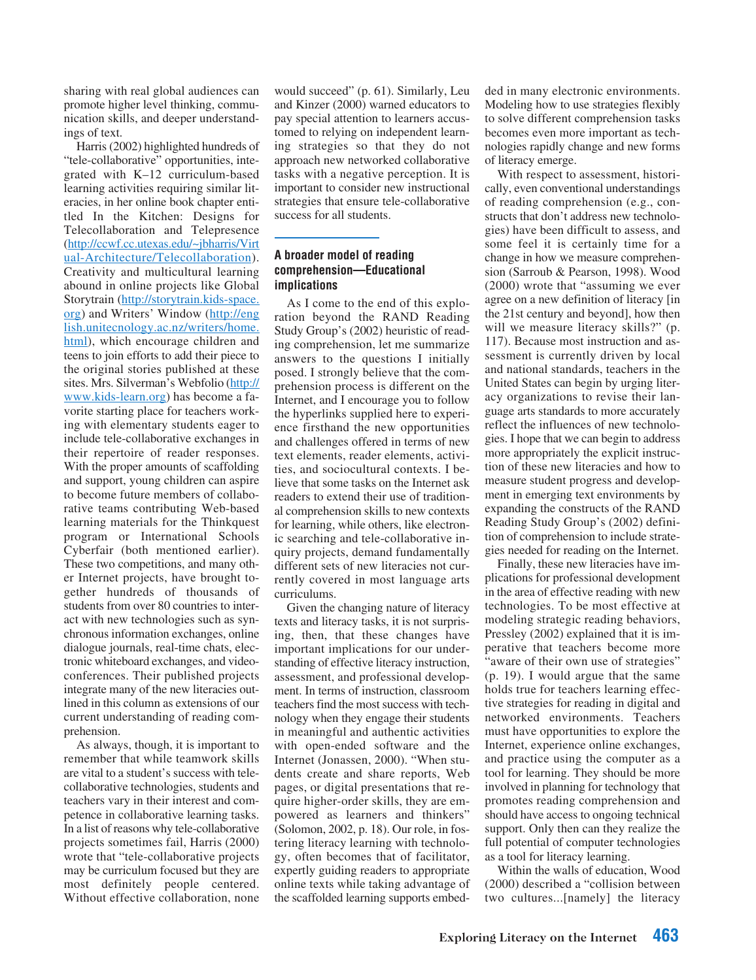sharing with real global audiences can promote higher level thinking, communication skills, and deeper understandings of text.

Harris (2002) highlighted hundreds of "tele-collaborative" opportunities, integrated with K–12 curriculum-based learning activities requiring similar literacies, in her online book chapter entitled In the Kitchen: Designs for Telecollaboration and Telepresence (http://ccwf.cc.utexas.edu/~jbharris/Virt ual-Architecture/Telecollaboration). Creativity and multicultural learning abound in online projects like Global Storytrain (http://storytrain.kids-space. org) and Writers' Window (http://eng lish.unitecnology.ac.nz/writers/home. html), which encourage children and teens to join efforts to add their piece to the original stories published at these sites. Mrs. Silverman's Webfolio (http:// www.kids-learn.org) has become a favorite starting place for teachers working with elementary students eager to include tele-collaborative exchanges in their repertoire of reader responses. With the proper amounts of scaffolding and support, young children can aspire to become future members of collaborative teams contributing Web-based learning materials for the Thinkquest program or International Schools Cyberfair (both mentioned earlier). These two competitions, and many other Internet projects, have brought together hundreds of thousands of students from over 80 countries to interact with new technologies such as synchronous information exchanges, online dialogue journals, real-time chats, electronic whiteboard exchanges, and videoconferences. Their published projects integrate many of the new literacies outlined in this column as extensions of our current understanding of reading comprehension.

As always, though, it is important to remember that while teamwork skills are vital to a student's success with telecollaborative technologies, students and teachers vary in their interest and competence in collaborative learning tasks. In a list of reasons why tele-collaborative projects sometimes fail, Harris (2000) wrote that "tele-collaborative projects may be curriculum focused but they are most definitely people centered. Without effective collaboration, none

would succeed" (p. 61). Similarly, Leu and Kinzer (2000) warned educators to pay special attention to learners accustomed to relying on independent learning strategies so that they do not approach new networked collaborative tasks with a negative perception. It is important to consider new instructional strategies that ensure tele-collaborative success for all students.

# **A broader model of reading comprehension—Educational implications**

As I come to the end of this exploration beyond the RAND Reading Study Group's (2002) heuristic of reading comprehension, let me summarize answers to the questions I initially posed. I strongly believe that the comprehension process is different on the Internet, and I encourage you to follow the hyperlinks supplied here to experience firsthand the new opportunities and challenges offered in terms of new text elements, reader elements, activities, and sociocultural contexts. I believe that some tasks on the Internet ask readers to extend their use of traditional comprehension skills to new contexts for learning, while others, like electronic searching and tele-collaborative inquiry projects, demand fundamentally different sets of new literacies not currently covered in most language arts curriculums.

Given the changing nature of literacy texts and literacy tasks, it is not surprising, then, that these changes have important implications for our understanding of effective literacy instruction, assessment, and professional development. In terms of instruction, classroom teachers find the most success with technology when they engage their students in meaningful and authentic activities with open-ended software and the Internet (Jonassen, 2000). "When students create and share reports, Web pages, or digital presentations that require higher-order skills, they are empowered as learners and thinkers" (Solomon, 2002, p. 18). Our role, in fostering literacy learning with technology, often becomes that of facilitator, expertly guiding readers to appropriate online texts while taking advantage of the scaffolded learning supports embedded in many electronic environments. Modeling how to use strategies flexibly to solve different comprehension tasks becomes even more important as technologies rapidly change and new forms of literacy emerge.

With respect to assessment, historically, even conventional understandings of reading comprehension (e.g., constructs that don't address new technologies) have been difficult to assess, and some feel it is certainly time for a change in how we measure comprehension (Sarroub & Pearson, 1998). Wood (2000) wrote that "assuming we ever agree on a new definition of literacy [in the 21st century and beyond], how then will we measure literacy skills?" (p. 117). Because most instruction and assessment is currently driven by local and national standards, teachers in the United States can begin by urging literacy organizations to revise their language arts standards to more accurately reflect the influences of new technologies. I hope that we can begin to address more appropriately the explicit instruction of these new literacies and how to measure student progress and development in emerging text environments by expanding the constructs of the RAND Reading Study Group's (2002) definition of comprehension to include strategies needed for reading on the Internet.

Finally, these new literacies have implications for professional development in the area of effective reading with new technologies. To be most effective at modeling strategic reading behaviors, Pressley (2002) explained that it is imperative that teachers become more "aware of their own use of strategies" (p. 19). I would argue that the same holds true for teachers learning effective strategies for reading in digital and networked environments. Teachers must have opportunities to explore the Internet, experience online exchanges, and practice using the computer as a tool for learning. They should be more involved in planning for technology that promotes reading comprehension and should have access to ongoing technical support. Only then can they realize the full potential of computer technologies as a tool for literacy learning.

Within the walls of education, Wood (2000) described a "collision between two cultures...[namely] the literacy